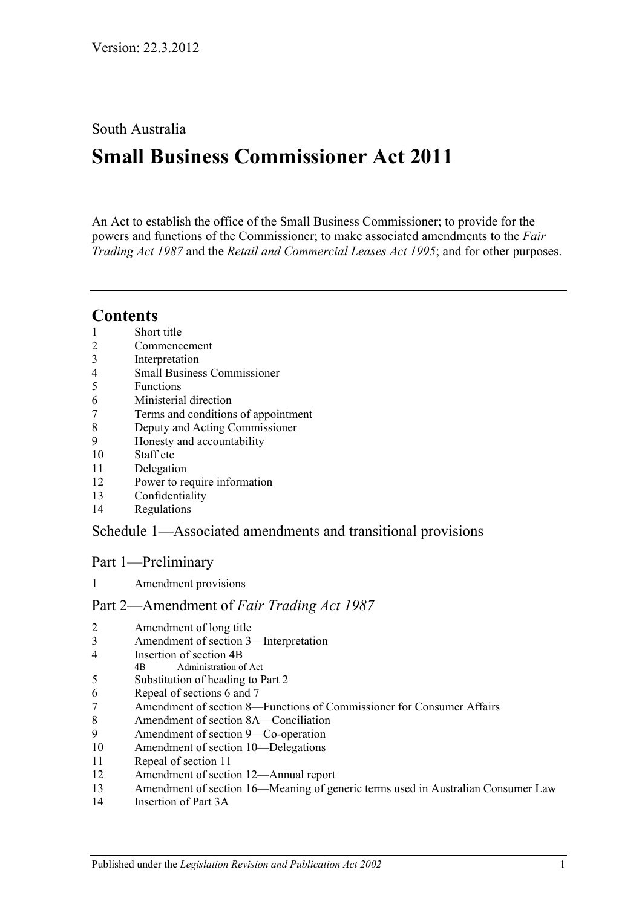## South Australia

# **Small Business Commissioner Act 2011**

An Act to establish the office of the Small Business Commissioner; to provide for the powers and functions of the Commissioner; to make associated amendments to the *[Fair](http://www.legislation.sa.gov.au/index.aspx?action=legref&type=act&legtitle=Fair%20Trading%20Act%201987)  [Trading Act](http://www.legislation.sa.gov.au/index.aspx?action=legref&type=act&legtitle=Fair%20Trading%20Act%201987) 1987* and the *[Retail and Commercial Leases Act](http://www.legislation.sa.gov.au/index.aspx?action=legref&type=act&legtitle=Retail%20and%20Commercial%20Leases%20Act%201995) 1995*; and for other purposes.

## **Contents**

- [Short title](#page-2-0)
- [Commencement](#page-2-1)
- [Interpretation](#page-2-2)
- [Small Business Commissioner](#page-2-3)
- [Functions](#page-2-4)
- [Ministerial direction](#page-3-0)
- [Terms and conditions of appointment](#page-3-1)
- [Deputy and Acting Commissioner](#page-4-0)
- [Honesty and accountability](#page-4-1)
- [Staff etc](#page-4-2)
- [Delegation](#page-5-0)
- [Power to require information](#page-5-1)
- [Confidentiality](#page-5-2)
- [Regulations](#page-6-0)

## Schedule [1—Associated amendments and transitional provisions](#page-6-1)

### Part 1—Preliminary

[Amendment provisions](#page-6-2)

### Part 2—Amendment of *Fair Trading Act 1987*

- [Amendment of long title](#page-6-3)
- [Amendment of section](#page-6-4) 3—Interpretation
- [Insertion of section](#page-7-0) 4B
- 4B Administration of Act
- [Substitution of heading to Part](#page-8-0) 2
- [Repeal of sections](#page-8-1) 6 and 7
- Amendment of section [8—Functions of Commissioner for Consumer Affairs](#page-8-2)
- [Amendment of section](#page-8-3) 8A—Conciliation
- [Amendment of section](#page-8-4) 9—Co-operation
- [Amendment of section](#page-8-5) 10—Delegations
- [Repeal of section](#page-8-6) 11
- [Amendment of section](#page-8-7) 12—Annual report
- Amendment of section [16—Meaning of generic terms used in Australian Consumer Law](#page-9-0)
- [Insertion of Part](#page-9-1) 3A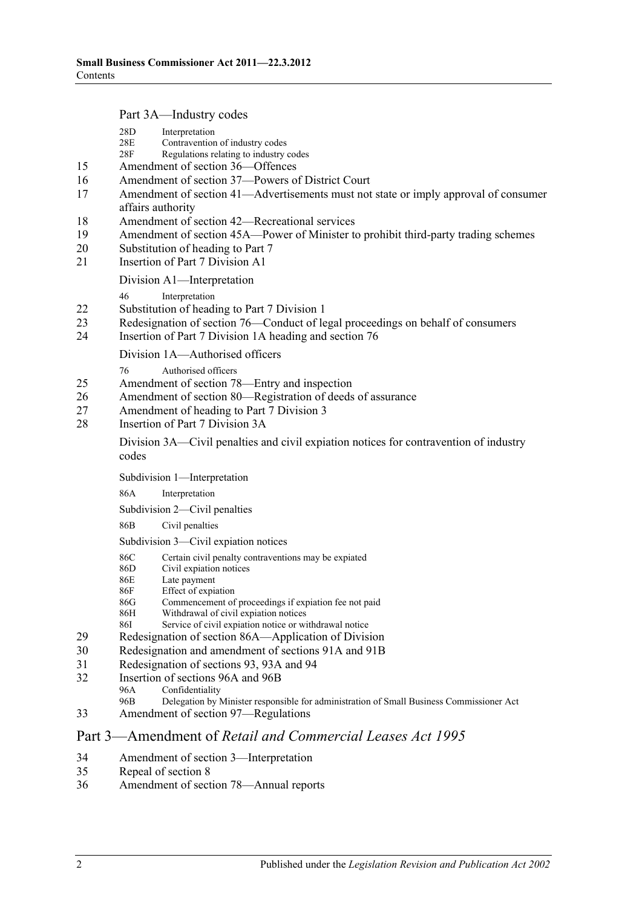Part 3A—Industry codes

|          |                                                                                                             | ran <i>Ji</i> n Industry Coucs                                                                                                            |  |  |  |  |
|----------|-------------------------------------------------------------------------------------------------------------|-------------------------------------------------------------------------------------------------------------------------------------------|--|--|--|--|
|          | 28D<br>28E<br>28F                                                                                           | Interpretation<br>Contravention of industry codes<br>Regulations relating to industry codes                                               |  |  |  |  |
| 15       |                                                                                                             | Amendment of section 36-Offences                                                                                                          |  |  |  |  |
| 16       | Amendment of section 37-Powers of District Court                                                            |                                                                                                                                           |  |  |  |  |
| 17       | Amendment of section 41-Advertisements must not state or imply approval of consumer                         |                                                                                                                                           |  |  |  |  |
|          | affairs authority                                                                                           |                                                                                                                                           |  |  |  |  |
| 18       |                                                                                                             | Amendment of section 42—Recreational services                                                                                             |  |  |  |  |
| 19       | Amendment of section 45A—Power of Minister to prohibit third-party trading schemes                          |                                                                                                                                           |  |  |  |  |
| 20       | Substitution of heading to Part 7                                                                           |                                                                                                                                           |  |  |  |  |
| 21       |                                                                                                             | Insertion of Part 7 Division A1                                                                                                           |  |  |  |  |
|          |                                                                                                             | Division A1—Interpretation                                                                                                                |  |  |  |  |
|          | 46                                                                                                          | Interpretation                                                                                                                            |  |  |  |  |
| 22       |                                                                                                             | Substitution of heading to Part 7 Division 1                                                                                              |  |  |  |  |
| 23<br>24 |                                                                                                             | Redesignation of section 76—Conduct of legal proceedings on behalf of consumers<br>Insertion of Part 7 Division 1A heading and section 76 |  |  |  |  |
|          |                                                                                                             | Division 1A-Authorised officers                                                                                                           |  |  |  |  |
|          | 76                                                                                                          | Authorised officers                                                                                                                       |  |  |  |  |
| 25       | Amendment of section 78—Entry and inspection                                                                |                                                                                                                                           |  |  |  |  |
| 26       |                                                                                                             | Amendment of section 80-Registration of deeds of assurance                                                                                |  |  |  |  |
| 27       |                                                                                                             | Amendment of heading to Part 7 Division 3                                                                                                 |  |  |  |  |
| 28       | Insertion of Part 7 Division 3A                                                                             |                                                                                                                                           |  |  |  |  |
|          | codes                                                                                                       | Division 3A—Civil penalties and civil explation notices for contravention of industry                                                     |  |  |  |  |
|          |                                                                                                             | Subdivision 1-Interpretation                                                                                                              |  |  |  |  |
|          | 86A                                                                                                         | Interpretation                                                                                                                            |  |  |  |  |
|          |                                                                                                             | Subdivision 2—Civil penalties                                                                                                             |  |  |  |  |
|          | 86B                                                                                                         | Civil penalties                                                                                                                           |  |  |  |  |
|          |                                                                                                             | Subdivision 3-Civil expiation notices                                                                                                     |  |  |  |  |
|          | 86C                                                                                                         | Certain civil penalty contraventions may be expiated                                                                                      |  |  |  |  |
|          | 86D<br>86E                                                                                                  | Civil expiation notices                                                                                                                   |  |  |  |  |
|          | 86F                                                                                                         | Late payment<br>Effect of expiation                                                                                                       |  |  |  |  |
|          | 86G                                                                                                         | Commencement of proceedings if expiation fee not paid                                                                                     |  |  |  |  |
|          | 86H                                                                                                         | Withdrawal of civil expiation notices                                                                                                     |  |  |  |  |
| 29       | 861                                                                                                         | Service of civil expiation notice or withdrawal notice                                                                                    |  |  |  |  |
| 30       | Redesignation of section 86A—Application of Division<br>Redesignation and amendment of sections 91A and 91B |                                                                                                                                           |  |  |  |  |
| 31       | Redesignation of sections 93, 93A and 94                                                                    |                                                                                                                                           |  |  |  |  |
| 32       | Insertion of sections 96A and 96B                                                                           |                                                                                                                                           |  |  |  |  |
|          | 96A                                                                                                         | Confidentiality                                                                                                                           |  |  |  |  |
|          | 96B                                                                                                         | Delegation by Minister responsible for administration of Small Business Commissioner Act                                                  |  |  |  |  |
| 33       |                                                                                                             | Amendment of section 97—Regulations                                                                                                       |  |  |  |  |
|          |                                                                                                             | Part 3—Amendment of Retail and Commercial Leases Act 1995                                                                                 |  |  |  |  |

- 34 [Amendment of section](#page-20-0) 3—Interpretation
- 35 [Repeal of section](#page-20-1) 8<br>36 Amendment of sect
- [Amendment of section](#page-20-2) 78—Annual reports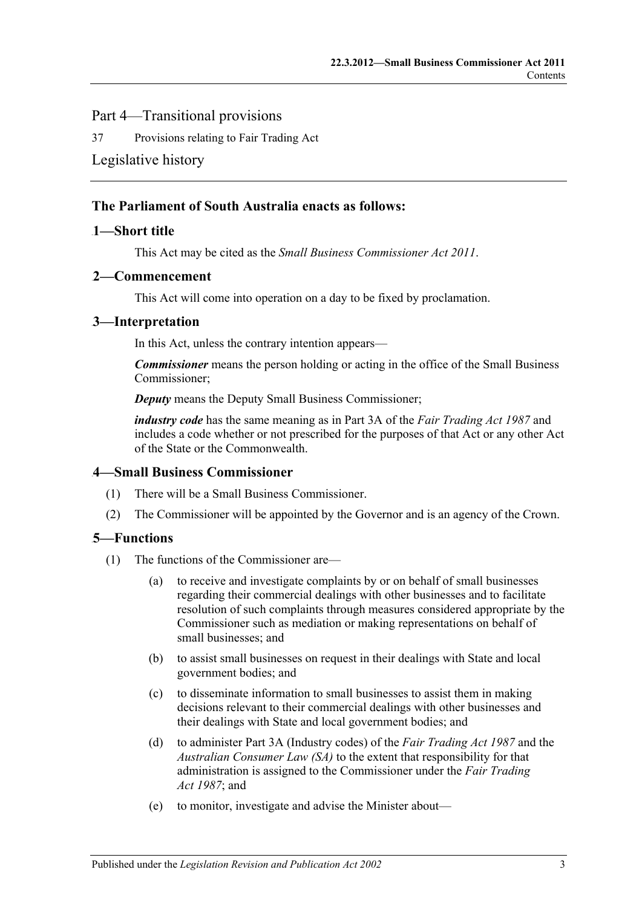### Part 4—Transitional provisions

37 [Provisions relating to Fair Trading Act](#page-20-3)

### [Legislative history](#page-21-0)

### **The Parliament of South Australia enacts as follows:**

### <span id="page-2-0"></span>1-Short title

This Act may be cited as the *Small Business Commissioner Act 2011*.

### <span id="page-2-1"></span>1B**2—Commencement**

This Act will come into operation on a day to be fixed by proclamation.

### <span id="page-2-2"></span>2B**3—Interpretation**

In this Act, unless the contrary intention appears—

*Commissioner* means the person holding or acting in the office of the Small Business Commissioner;

*Deputy* means the Deputy Small Business Commissioner;

*industry code* has the same meaning as in Part 3A of the *[Fair Trading Act](http://www.legislation.sa.gov.au/index.aspx?action=legref&type=act&legtitle=Fair%20Trading%20Act%201987) 1987* and includes a code whether or not prescribed for the purposes of that Act or any other Act of the State or the Commonwealth.

### <span id="page-2-3"></span>3B**4—Small Business Commissioner**

- (1) There will be a Small Business Commissioner.
- (2) The Commissioner will be appointed by the Governor and is an agency of the Crown.

### <span id="page-2-4"></span>4B**5—Functions**

- (1) The functions of the Commissioner are—
	- (a) to receive and investigate complaints by or on behalf of small businesses regarding their commercial dealings with other businesses and to facilitate resolution of such complaints through measures considered appropriate by the Commissioner such as mediation or making representations on behalf of small businesses; and
	- (b) to assist small businesses on request in their dealings with State and local government bodies; and
	- (c) to disseminate information to small businesses to assist them in making decisions relevant to their commercial dealings with other businesses and their dealings with State and local government bodies; and
	- (d) to administer Part 3A (Industry codes) of the *[Fair Trading Act](http://www.legislation.sa.gov.au/index.aspx?action=legref&type=act&legtitle=Fair%20Trading%20Act%201987) 1987* and the *Australian Consumer Law (SA)* to the extent that responsibility for that administration is assigned to the Commissioner under the *[Fair Trading](http://www.legislation.sa.gov.au/index.aspx?action=legref&type=act&legtitle=Fair%20Trading%20Act%201987)  Act [1987](http://www.legislation.sa.gov.au/index.aspx?action=legref&type=act&legtitle=Fair%20Trading%20Act%201987)*; and
	- (e) to monitor, investigate and advise the Minister about—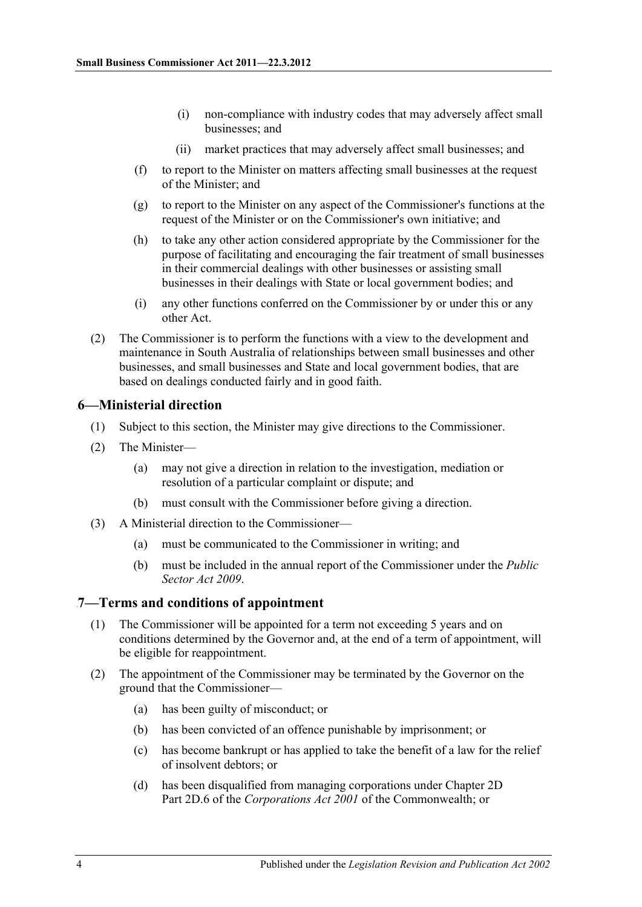- (i) non-compliance with industry codes that may adversely affect small businesses; and
- (ii) market practices that may adversely affect small businesses; and
- (f) to report to the Minister on matters affecting small businesses at the request of the Minister; and
- (g) to report to the Minister on any aspect of the Commissioner's functions at the request of the Minister or on the Commissioner's own initiative; and
- (h) to take any other action considered appropriate by the Commissioner for the purpose of facilitating and encouraging the fair treatment of small businesses in their commercial dealings with other businesses or assisting small businesses in their dealings with State or local government bodies; and
- (i) any other functions conferred on the Commissioner by or under this or any other Act.
- (2) The Commissioner is to perform the functions with a view to the development and maintenance in South Australia of relationships between small businesses and other businesses, and small businesses and State and local government bodies, that are based on dealings conducted fairly and in good faith.

### <span id="page-3-0"></span>5B**6—Ministerial direction**

- (1) Subject to this section, the Minister may give directions to the Commissioner.
- (2) The Minister—
	- (a) may not give a direction in relation to the investigation, mediation or resolution of a particular complaint or dispute; and
	- (b) must consult with the Commissioner before giving a direction.
- (3) A Ministerial direction to the Commissioner—
	- (a) must be communicated to the Commissioner in writing; and
	- (b) must be included in the annual report of the Commissioner under the *[Public](http://www.legislation.sa.gov.au/index.aspx?action=legref&type=act&legtitle=Public%20Sector%20Act%202009)  [Sector Act](http://www.legislation.sa.gov.au/index.aspx?action=legref&type=act&legtitle=Public%20Sector%20Act%202009) 2009*.

### <span id="page-3-1"></span>6B**7—Terms and conditions of appointment**

- (1) The Commissioner will be appointed for a term not exceeding 5 years and on conditions determined by the Governor and, at the end of a term of appointment, will be eligible for reappointment.
- (2) The appointment of the Commissioner may be terminated by the Governor on the ground that the Commissioner—
	- (a) has been guilty of misconduct; or
	- (b) has been convicted of an offence punishable by imprisonment; or
	- (c) has become bankrupt or has applied to take the benefit of a law for the relief of insolvent debtors; or
	- (d) has been disqualified from managing corporations under Chapter 2D Part 2D.6 of the *Corporations Act 2001* of the Commonwealth; or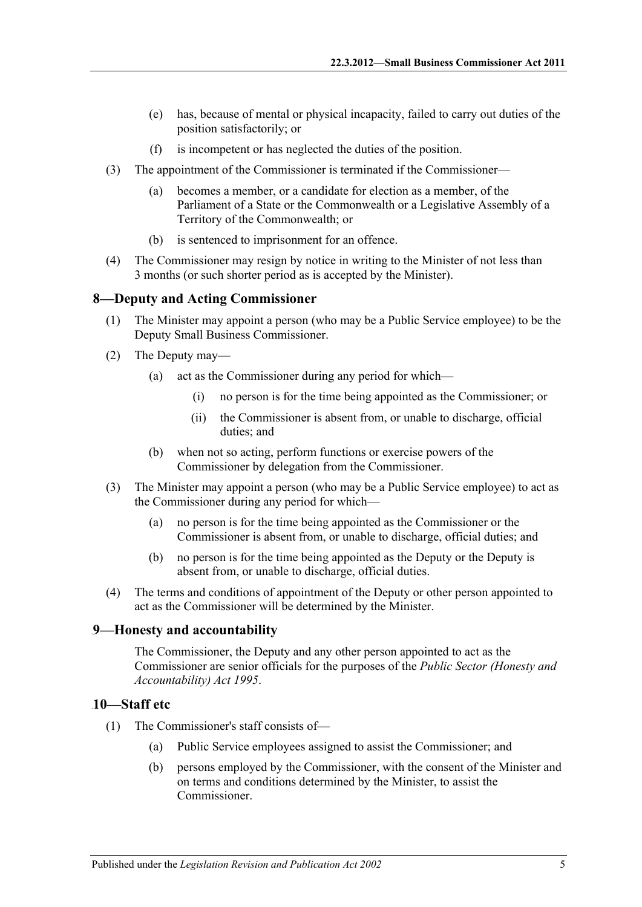- (e) has, because of mental or physical incapacity, failed to carry out duties of the position satisfactorily; or
- (f) is incompetent or has neglected the duties of the position.
- (3) The appointment of the Commissioner is terminated if the Commissioner—
	- (a) becomes a member, or a candidate for election as a member, of the Parliament of a State or the Commonwealth or a Legislative Assembly of a Territory of the Commonwealth; or
	- (b) is sentenced to imprisonment for an offence.
- (4) The Commissioner may resign by notice in writing to the Minister of not less than 3 months (or such shorter period as is accepted by the Minister).

### <span id="page-4-0"></span>7B**8—Deputy and Acting Commissioner**

- (1) The Minister may appoint a person (who may be a Public Service employee) to be the Deputy Small Business Commissioner.
- (2) The Deputy may—
	- (a) act as the Commissioner during any period for which—
		- (i) no person is for the time being appointed as the Commissioner; or
		- (ii) the Commissioner is absent from, or unable to discharge, official duties; and
	- (b) when not so acting, perform functions or exercise powers of the Commissioner by delegation from the Commissioner.
- (3) The Minister may appoint a person (who may be a Public Service employee) to act as the Commissioner during any period for which—
	- (a) no person is for the time being appointed as the Commissioner or the Commissioner is absent from, or unable to discharge, official duties; and
	- (b) no person is for the time being appointed as the Deputy or the Deputy is absent from, or unable to discharge, official duties.
- (4) The terms and conditions of appointment of the Deputy or other person appointed to act as the Commissioner will be determined by the Minister.

### <span id="page-4-1"></span>8B**9—Honesty and accountability**

The Commissioner, the Deputy and any other person appointed to act as the Commissioner are senior officials for the purposes of the *[Public Sector \(Honesty and](http://www.legislation.sa.gov.au/index.aspx?action=legref&type=act&legtitle=Public%20Sector%20(Honesty%20and%20Accountability)%20Act%201995)  [Accountability\) Act](http://www.legislation.sa.gov.au/index.aspx?action=legref&type=act&legtitle=Public%20Sector%20(Honesty%20and%20Accountability)%20Act%201995) 1995*.

### <span id="page-4-2"></span>9B**10—Staff etc**

- (1) The Commissioner's staff consists of—
	- (a) Public Service employees assigned to assist the Commissioner; and
	- (b) persons employed by the Commissioner, with the consent of the Minister and on terms and conditions determined by the Minister, to assist the Commissioner.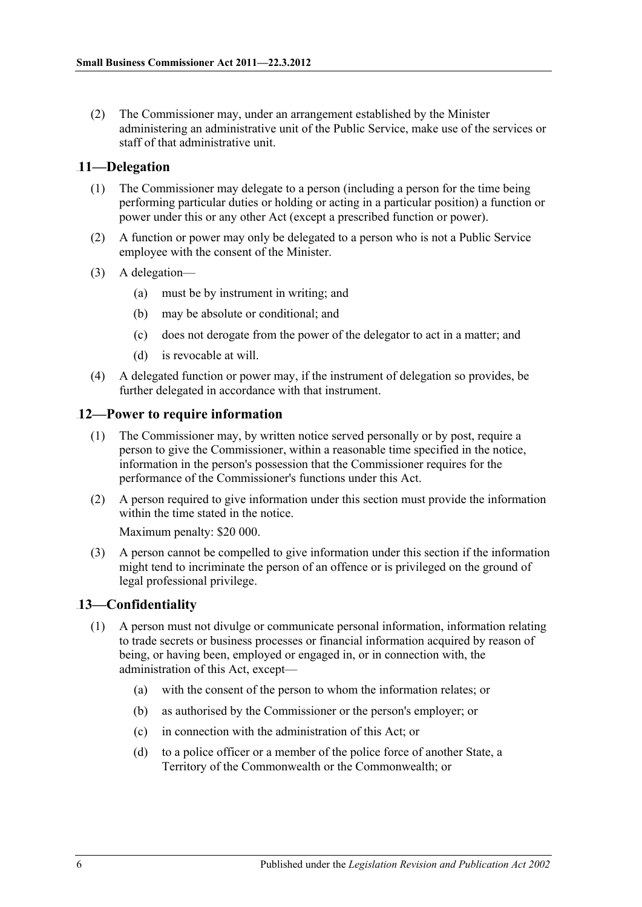(2) The Commissioner may, under an arrangement established by the Minister administering an administrative unit of the Public Service, make use of the services or staff of that administrative unit.

### <span id="page-5-0"></span>10B**11—Delegation**

- (1) The Commissioner may delegate to a person (including a person for the time being performing particular duties or holding or acting in a particular position) a function or power under this or any other Act (except a prescribed function or power).
- (2) A function or power may only be delegated to a person who is not a Public Service employee with the consent of the Minister.
- (3) A delegation—
	- (a) must be by instrument in writing; and
	- (b) may be absolute or conditional; and
	- (c) does not derogate from the power of the delegator to act in a matter; and
	- (d) is revocable at will.
- (4) A delegated function or power may, if the instrument of delegation so provides, be further delegated in accordance with that instrument.

### <span id="page-5-1"></span>12—Power to require information

- (1) The Commissioner may, by written notice served personally or by post, require a person to give the Commissioner, within a reasonable time specified in the notice, information in the person's possession that the Commissioner requires for the performance of the Commissioner's functions under this Act.
- (2) A person required to give information under this section must provide the information within the time stated in the notice.

Maximum penalty: \$20 000.

(3) A person cannot be compelled to give information under this section if the information might tend to incriminate the person of an offence or is privileged on the ground of legal professional privilege.

### <span id="page-5-2"></span>12B**13—Confidentiality**

- (1) A person must not divulge or communicate personal information, information relating to trade secrets or business processes or financial information acquired by reason of being, or having been, employed or engaged in, or in connection with, the administration of this Act, except—
	- (a) with the consent of the person to whom the information relates; or
	- (b) as authorised by the Commissioner or the person's employer; or
	- (c) in connection with the administration of this Act; or
	- (d) to a police officer or a member of the police force of another State, a Territory of the Commonwealth or the Commonwealth; or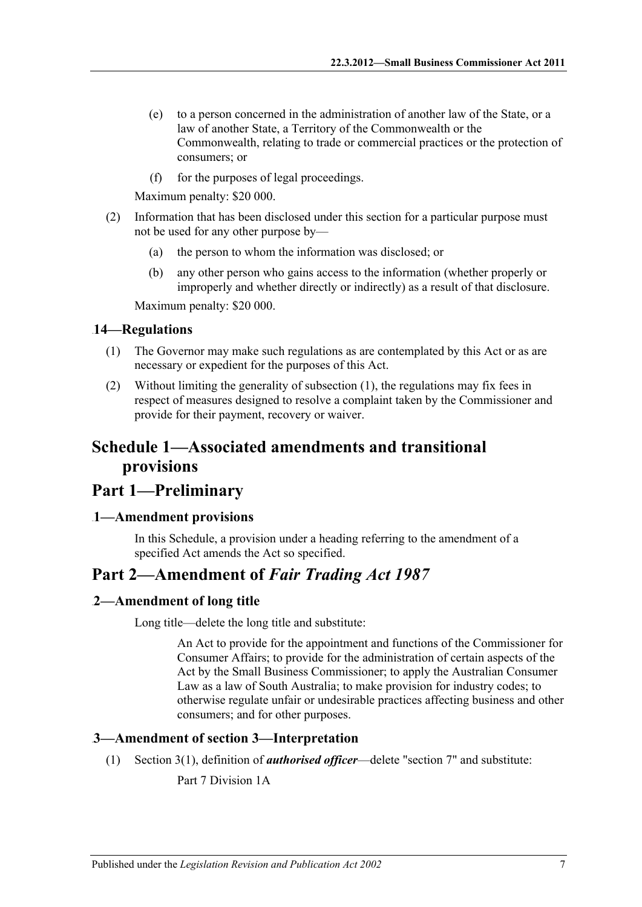- (e) to a person concerned in the administration of another law of the State, or a law of another State, a Territory of the Commonwealth or the Commonwealth, relating to trade or commercial practices or the protection of consumers; or
- (f) for the purposes of legal proceedings.

Maximum penalty: \$20 000.

- (2) Information that has been disclosed under this section for a particular purpose must not be used for any other purpose by—
	- (a) the person to whom the information was disclosed; or
	- (b) any other person who gains access to the information (whether properly or improperly and whether directly or indirectly) as a result of that disclosure.

Maximum penalty: \$20 000.

### <span id="page-6-5"></span><span id="page-6-0"></span>13B**14—Regulations**

- (1) The Governor may make such regulations as are contemplated by this Act or as are necessary or expedient for the purposes of this Act.
- (2) Without limiting the generality of [subsection](#page-6-5) (1), the regulations may fix fees in respect of measures designed to resolve a complaint taken by the Commissioner and provide for their payment, recovery or waiver.

## <span id="page-6-1"></span>**Schedule 1—Associated amendments and transitional provisions**

## **Part 1—Preliminary**

### <span id="page-6-2"></span>14B**1—Amendment provisions**

In this Schedule, a provision under a heading referring to the amendment of a specified Act amends the Act so specified.

## **Part 2—Amendment of** *Fair Trading Act 1987*

### <span id="page-6-3"></span>2—Amendment of long title

Long title—delete the long title and substitute:

An Act to provide for the appointment and functions of the Commissioner for Consumer Affairs; to provide for the administration of certain aspects of the Act by the Small Business Commissioner; to apply the Australian Consumer Law as a law of South Australia; to make provision for industry codes; to otherwise regulate unfair or undesirable practices affecting business and other consumers; and for other purposes.

### <span id="page-6-4"></span>16B**3—Amendment of section 3—Interpretation**

(1) Section 3(1), definition of *authorised officer*—delete "section 7" and substitute:

Part 7 Division 1A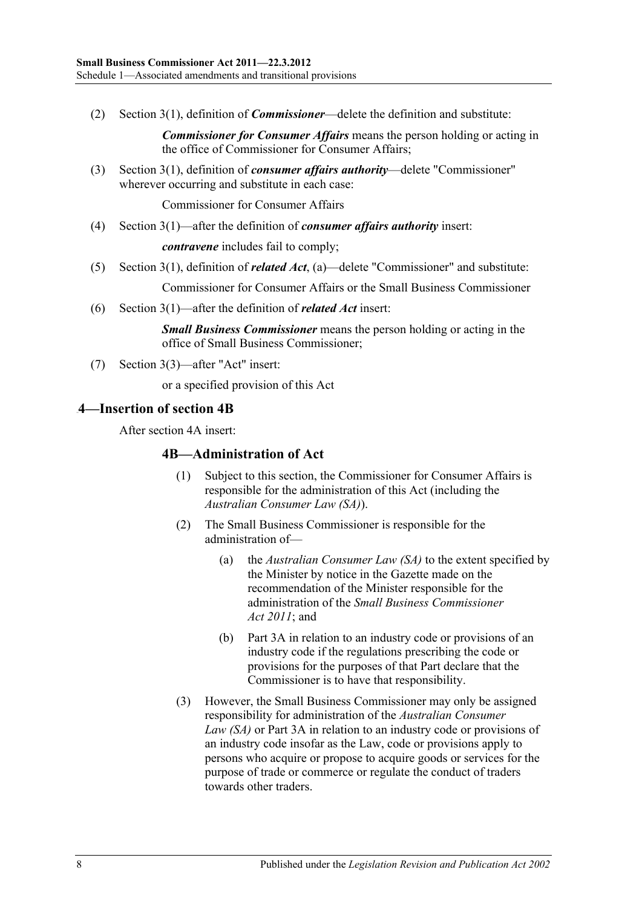(2) Section 3(1), definition of *Commissioner*—delete the definition and substitute:

*Commissioner for Consumer Affairs* means the person holding or acting in the office of Commissioner for Consumer Affairs;

(3) Section 3(1), definition of *consumer affairs authority*—delete "Commissioner" wherever occurring and substitute in each case:

Commissioner for Consumer Affairs

(4) Section 3(1)—after the definition of *consumer affairs authority* insert:

*contravene* includes fail to comply;

(5) Section 3(1), definition of *related Act*, (a)—delete "Commissioner" and substitute:

Commissioner for Consumer Affairs or the Small Business Commissioner

(6) Section 3(1)—after the definition of *related Act* insert:

*Small Business Commissioner* means the person holding or acting in the office of Small Business Commissioner;

(7) Section 3(3)—after "Act" insert:

or a specified provision of this Act

#### <span id="page-7-0"></span>17B**4—Insertion of section 4B**

After section 4A insert:

#### **4B—Administration of Act**

- (1) Subject to this section, the Commissioner for Consumer Affairs is responsible for the administration of this Act (including the *Australian Consumer Law (SA)*).
- (2) The Small Business Commissioner is responsible for the administration of—
	- (a) the *Australian Consumer Law (SA)* to the extent specified by the Minister by notice in the Gazette made on the recommendation of the Minister responsible for the administration of the *[Small Business](http://www.legislation.sa.gov.au/index.aspx?action=legref&type=act&legtitle=Small%20Business%20Commissioner%20Act%202011) Commissioner Act [2011](http://www.legislation.sa.gov.au/index.aspx?action=legref&type=act&legtitle=Small%20Business%20Commissioner%20Act%202011)*; and
	- (b) Part 3A in relation to an industry code or provisions of an industry code if the regulations prescribing the code or provisions for the purposes of that Part declare that the Commissioner is to have that responsibility.
- (3) However, the Small Business Commissioner may only be assigned responsibility for administration of the *Australian Consumer Law (SA)* or Part 3A in relation to an industry code or provisions of an industry code insofar as the Law, code or provisions apply to persons who acquire or propose to acquire goods or services for the purpose of trade or commerce or regulate the conduct of traders towards other traders.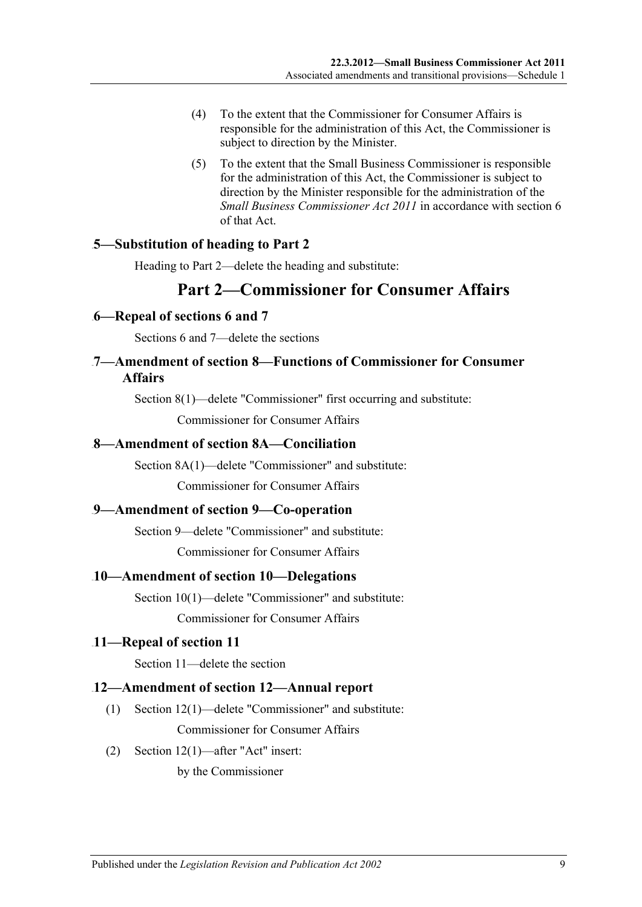- (4) To the extent that the Commissioner for Consumer Affairs is responsible for the administration of this Act, the Commissioner is subject to direction by the Minister.
- (5) To the extent that the Small Business Commissioner is responsible for the administration of this Act, the Commissioner is subject to direction by the Minister responsible for the administration of the *[Small Business Commissioner](http://www.legislation.sa.gov.au/index.aspx?action=legref&type=act&legtitle=Small%20Business%20Commissioner%20Act%202011) Act 2011* in accordance with section 6 of that Act.

### <span id="page-8-0"></span>18B**5—Substitution of heading to Part 2**

Heading to Part 2—delete the heading and substitute:

## **Part 2—Commissioner for Consumer Affairs**

### <span id="page-8-1"></span>19B**6—Repeal of sections 6 and 7**

Sections 6 and 7—delete the sections

### <span id="page-8-2"></span>20B**7—Amendment of section 8—Functions of Commissioner for Consumer Affairs**

Section 8(1)—delete "Commissioner" first occurring and substitute:

Commissioner for Consumer Affairs

### <span id="page-8-3"></span>21B**8—Amendment of section 8A—Conciliation**

Section 8A(1)—delete "Commissioner" and substitute:

Commissioner for Consumer Affairs

### <span id="page-8-4"></span>22B**9—Amendment of section 9—Co-operation**

Section 9—delete "Commissioner" and substitute:

Commissioner for Consumer Affairs

### <span id="page-8-5"></span>23B**10—Amendment of section 10—Delegations**

Section 10(1)—delete "Commissioner" and substitute:

Commissioner for Consumer Affairs

### <span id="page-8-6"></span>24B**11—Repeal of section 11**

Section 11—delete the section

### <span id="page-8-7"></span>25B**12—Amendment of section 12—Annual report**

- (1) Section 12(1)—delete "Commissioner" and substitute: Commissioner for Consumer Affairs
- (2) Section 12(1)—after "Act" insert:

by the Commissioner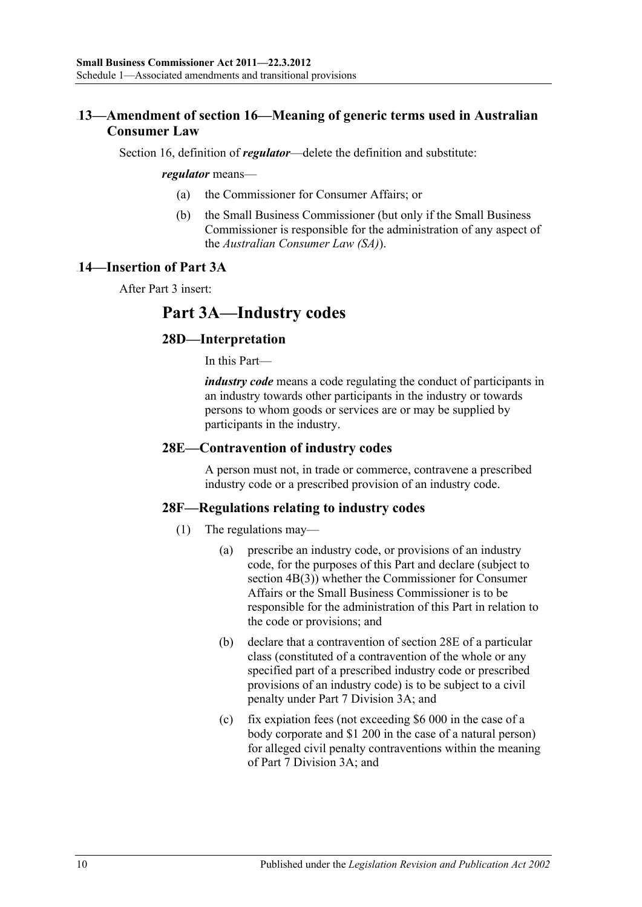## <span id="page-9-0"></span>26B**13—Amendment of section 16—Meaning of generic terms used in Australian Consumer Law**

Section 16, definition of *regulator*—delete the definition and substitute:

#### *regulator* means—

- (a) the Commissioner for Consumer Affairs; or
- (b) the Small Business Commissioner (but only if the Small Business Commissioner is responsible for the administration of any aspect of the *Australian Consumer Law (SA)*).

### <span id="page-9-1"></span>27B**14—Insertion of Part 3A**

After Part 3 insert:

## **Part 3A—Industry codes**

### **28D—Interpretation**

In this Part—

*industry code* means a code regulating the conduct of participants in an industry towards other participants in the industry or towards persons to whom goods or services are or may be supplied by participants in the industry.

### **28E—Contravention of industry codes**

A person must not, in trade or commerce, contravene a prescribed industry code or a prescribed provision of an industry code.

### **28F—Regulations relating to industry codes**

- (1) The regulations may—
	- (a) prescribe an industry code, or provisions of an industry code, for the purposes of this Part and declare (subject to section 4B(3)) whether the Commissioner for Consumer Affairs or the Small Business Commissioner is to be responsible for the administration of this Part in relation to the code or provisions; and
	- (b) declare that a contravention of section 28E of a particular class (constituted of a contravention of the whole or any specified part of a prescribed industry code or prescribed provisions of an industry code) is to be subject to a civil penalty under Part 7 Division 3A; and
	- (c) fix expiation fees (not exceeding \$6 000 in the case of a body corporate and \$1 200 in the case of a natural person) for alleged civil penalty contraventions within the meaning of Part 7 Division 3A; and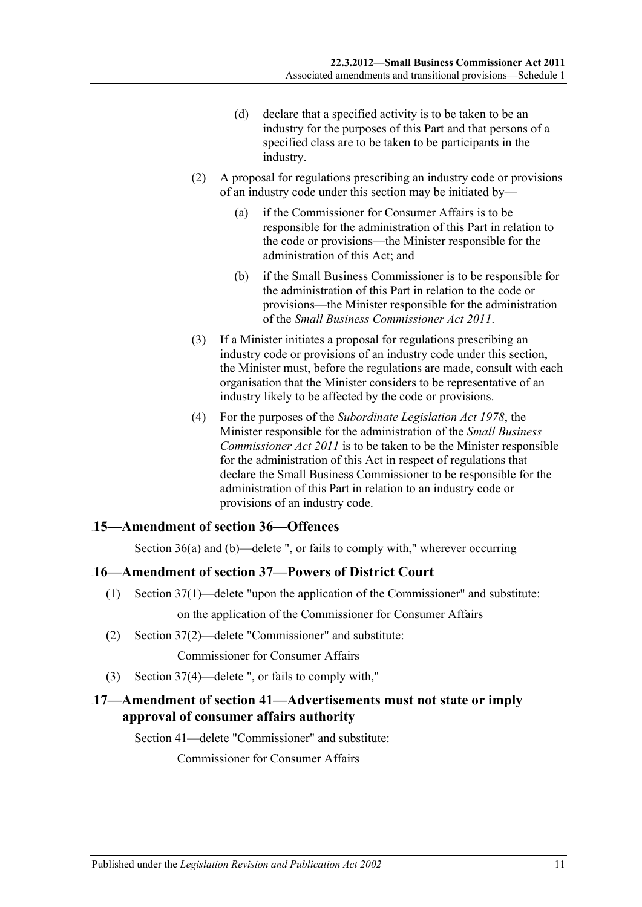- (d) declare that a specified activity is to be taken to be an industry for the purposes of this Part and that persons of a specified class are to be taken to be participants in the industry.
- (2) A proposal for regulations prescribing an industry code or provisions of an industry code under this section may be initiated by—
	- (a) if the Commissioner for Consumer Affairs is to be responsible for the administration of this Part in relation to the code or provisions—the Minister responsible for the administration of this Act; and
	- (b) if the Small Business Commissioner is to be responsible for the administration of this Part in relation to the code or provisions—the Minister responsible for the administration of the *[Small Business Commissioner Act](http://www.legislation.sa.gov.au/index.aspx?action=legref&type=act&legtitle=Small%20Business%20Commissioner%20Act%202011) 2011*.
- (3) If a Minister initiates a proposal for regulations prescribing an industry code or provisions of an industry code under this section, the Minister must, before the regulations are made, consult with each organisation that the Minister considers to be representative of an industry likely to be affected by the code or provisions.
- (4) For the purposes of the *[Subordinate Legislation Act](http://www.legislation.sa.gov.au/index.aspx?action=legref&type=act&legtitle=Subordinate%20Legislation%20Act%201978) 1978*, the Minister responsible for the administration of the *[Small Business](http://www.legislation.sa.gov.au/index.aspx?action=legref&type=act&legtitle=Small%20Business%20Commissioner%20Act%202011)  [Commissioner Act](http://www.legislation.sa.gov.au/index.aspx?action=legref&type=act&legtitle=Small%20Business%20Commissioner%20Act%202011) 2011* is to be taken to be the Minister responsible for the administration of this Act in respect of regulations that declare the Small Business Commissioner to be responsible for the administration of this Part in relation to an industry code or provisions of an industry code.

### <span id="page-10-0"></span>28B**15—Amendment of section 36—Offences**

Section 36(a) and (b)—delete ", or fails to comply with," wherever occurring

### <span id="page-10-1"></span>29B**16—Amendment of section 37—Powers of District Court**

- (1) Section 37(1)—delete "upon the application of the Commissioner" and substitute: on the application of the Commissioner for Consumer Affairs
- (2) Section 37(2)—delete "Commissioner" and substitute:

Commissioner for Consumer Affairs

(3) Section 37(4)—delete ", or fails to comply with,"

## <span id="page-10-2"></span>30B**17—Amendment of section 41—Advertisements must not state or imply approval of consumer affairs authority**

Section 41—delete "Commissioner" and substitute:

Commissioner for Consumer Affairs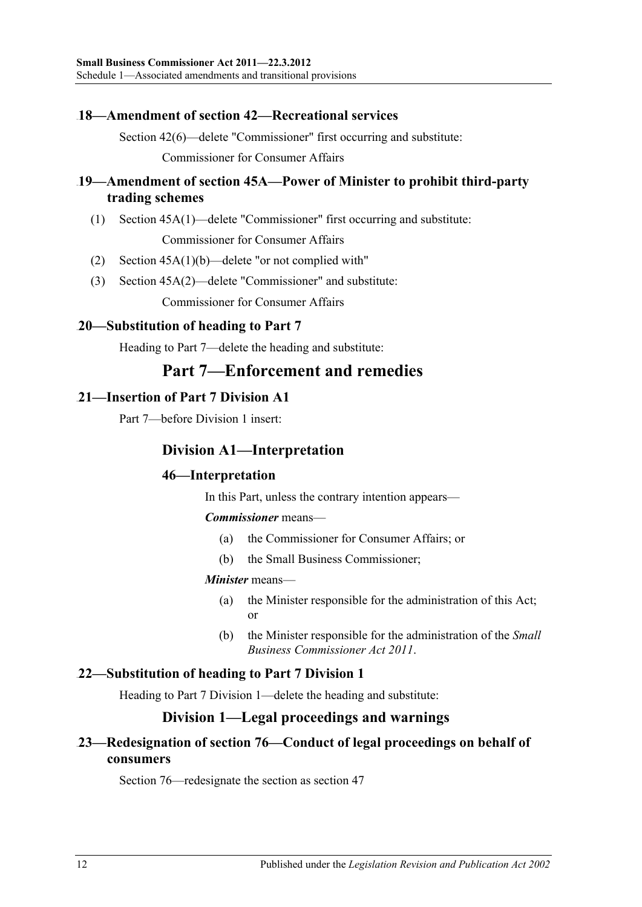### <span id="page-11-0"></span>31B**18—Amendment of section 42—Recreational services**

Section 42(6)—delete "Commissioner" first occurring and substitute: Commissioner for Consumer Affairs

## <span id="page-11-1"></span>32B**19—Amendment of section 45A—Power of Minister to prohibit third-party trading schemes**

(1) Section 45A(1)—delete "Commissioner" first occurring and substitute: Commissioner for Consumer Affairs

- (2) Section 45A(1)(b)—delete "or not complied with"
- (3) Section 45A(2)—delete "Commissioner" and substitute:

Commissioner for Consumer Affairs

## <span id="page-11-2"></span>33B**20—Substitution of heading to Part 7**

Heading to Part 7—delete the heading and substitute:

## **Part 7—Enforcement and remedies**

### <span id="page-11-3"></span>34B**21—Insertion of Part 7 Division A1**

Part 7—before Division 1 insert:

## **Division A1—Interpretation**

## **46—Interpretation**

In this Part, unless the contrary intention appears—

### *Commissioner* means—

- (a) the Commissioner for Consumer Affairs; or
- (b) the Small Business Commissioner;

### *Minister* means—

- (a) the Minister responsible for the administration of this Act; or
- (b) the Minister responsible for the administration of the *[Small](http://www.legislation.sa.gov.au/index.aspx?action=legref&type=act&legtitle=Small%20Business%20Commissioner%20Act%202011)  [Business Commissioner Act](http://www.legislation.sa.gov.au/index.aspx?action=legref&type=act&legtitle=Small%20Business%20Commissioner%20Act%202011) 2011*.

## <span id="page-11-4"></span>35B**22—Substitution of heading to Part 7 Division 1**

Heading to Part 7 Division 1—delete the heading and substitute:

## **Division 1—Legal proceedings and warnings**

## <span id="page-11-5"></span>36B**23—Redesignation of section 76—Conduct of legal proceedings on behalf of consumers**

Section 76—redesignate the section as section 47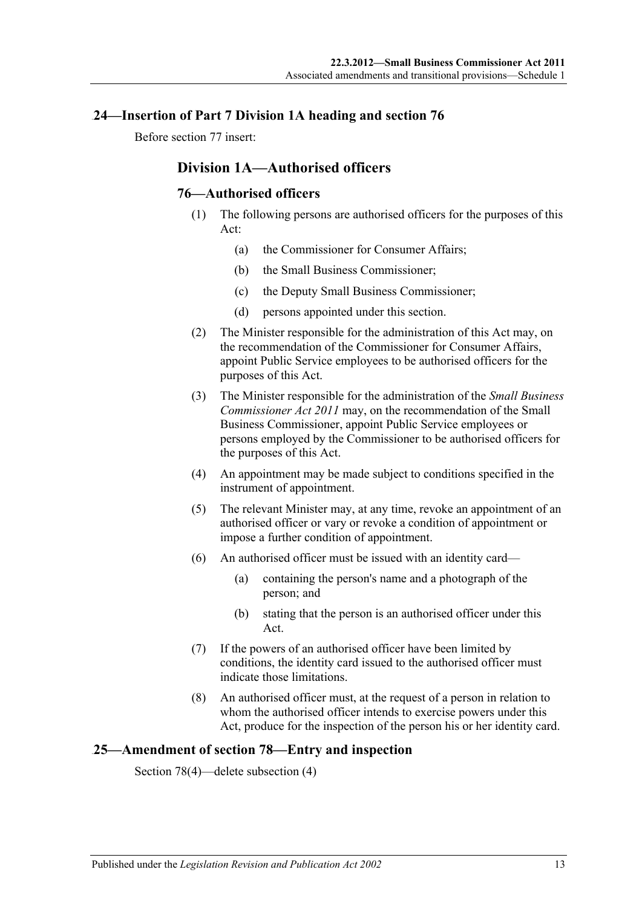### <span id="page-12-0"></span>37B**24—Insertion of Part 7 Division 1A heading and section 76**

Before section 77 insert:

## **Division 1A—Authorised officers**

### **76—Authorised officers**

- (1) The following persons are authorised officers for the purposes of this Act:
	- (a) the Commissioner for Consumer Affairs;
	- (b) the Small Business Commissioner;
	- (c) the Deputy Small Business Commissioner;
	- (d) persons appointed under this section.
- (2) The Minister responsible for the administration of this Act may, on the recommendation of the Commissioner for Consumer Affairs, appoint Public Service employees to be authorised officers for the purposes of this Act.
- (3) The Minister responsible for the administration of the *[Small Business](http://www.legislation.sa.gov.au/index.aspx?action=legref&type=act&legtitle=Small%20Business%20Commissioner%20Act%202011)  [Commissioner Act](http://www.legislation.sa.gov.au/index.aspx?action=legref&type=act&legtitle=Small%20Business%20Commissioner%20Act%202011) 2011* may, on the recommendation of the Small Business Commissioner, appoint Public Service employees or persons employed by the Commissioner to be authorised officers for the purposes of this Act.
- (4) An appointment may be made subject to conditions specified in the instrument of appointment.
- (5) The relevant Minister may, at any time, revoke an appointment of an authorised officer or vary or revoke a condition of appointment or impose a further condition of appointment.
- (6) An authorised officer must be issued with an identity card—
	- (a) containing the person's name and a photograph of the person; and
	- (b) stating that the person is an authorised officer under this Act.
- (7) If the powers of an authorised officer have been limited by conditions, the identity card issued to the authorised officer must indicate those limitations.
- (8) An authorised officer must, at the request of a person in relation to whom the authorised officer intends to exercise powers under this Act, produce for the inspection of the person his or her identity card.

### <span id="page-12-1"></span>38B**25—Amendment of section 78—Entry and inspection**

Section 78(4)—delete subsection (4)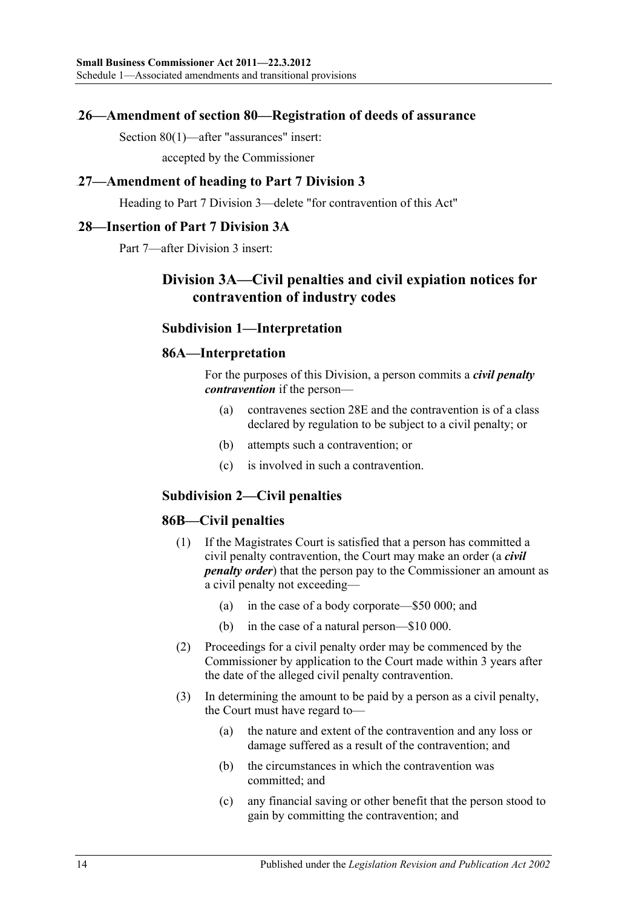### <span id="page-13-0"></span>39B**26—Amendment of section 80—Registration of deeds of assurance**

Section 80(1)—after "assurances" insert:

accepted by the Commissioner

### <span id="page-13-1"></span>40B**27—Amendment of heading to Part 7 Division 3**

Heading to Part 7 Division 3—delete "for contravention of this Act"

### <span id="page-13-2"></span>41B**28—Insertion of Part 7 Division 3A**

Part 7—after Division 3 insert:

## **Division 3A—Civil penalties and civil expiation notices for contravention of industry codes**

### **Subdivision 1—Interpretation**

### **86A—Interpretation**

For the purposes of this Division, a person commits a *civil penalty contravention* if the person—

- (a) contravenes section 28E and the contravention is of a class declared by regulation to be subject to a civil penalty; or
- (b) attempts such a contravention; or
- (c) is involved in such a contravention.

### **Subdivision 2—Civil penalties**

### **86B—Civil penalties**

- (1) If the Magistrates Court is satisfied that a person has committed a civil penalty contravention, the Court may make an order (a *civil penalty order*) that the person pay to the Commissioner an amount as a civil penalty not exceeding—
	- (a) in the case of a body corporate—\$50 000; and
	- (b) in the case of a natural person—\$10 000.
- (2) Proceedings for a civil penalty order may be commenced by the Commissioner by application to the Court made within 3 years after the date of the alleged civil penalty contravention.
- (3) In determining the amount to be paid by a person as a civil penalty, the Court must have regard to—
	- (a) the nature and extent of the contravention and any loss or damage suffered as a result of the contravention; and
	- (b) the circumstances in which the contravention was committed; and
	- (c) any financial saving or other benefit that the person stood to gain by committing the contravention; and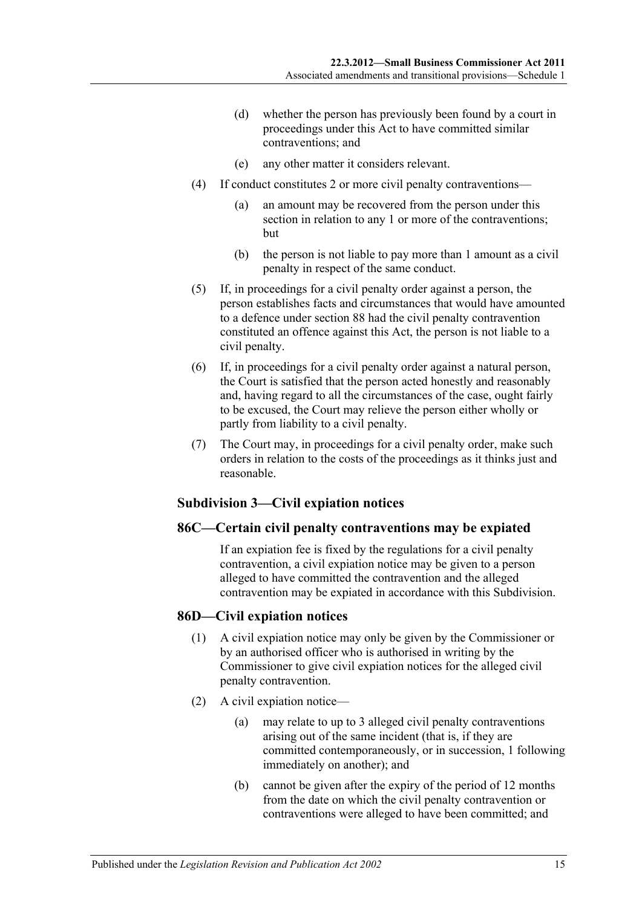- (d) whether the person has previously been found by a court in proceedings under this Act to have committed similar contraventions; and
- (e) any other matter it considers relevant.
- (4) If conduct constitutes 2 or more civil penalty contraventions—
	- (a) an amount may be recovered from the person under this section in relation to any 1 or more of the contraventions; but
	- (b) the person is not liable to pay more than 1 amount as a civil penalty in respect of the same conduct.
- (5) If, in proceedings for a civil penalty order against a person, the person establishes facts and circumstances that would have amounted to a defence under section 88 had the civil penalty contravention constituted an offence against this Act, the person is not liable to a civil penalty.
- (6) If, in proceedings for a civil penalty order against a natural person, the Court is satisfied that the person acted honestly and reasonably and, having regard to all the circumstances of the case, ought fairly to be excused, the Court may relieve the person either wholly or partly from liability to a civil penalty.
- (7) The Court may, in proceedings for a civil penalty order, make such orders in relation to the costs of the proceedings as it thinks just and reasonable.

### **Subdivision 3—Civil expiation notices**

### **86C—Certain civil penalty contraventions may be expiated**

If an expiation fee is fixed by the regulations for a civil penalty contravention, a civil expiation notice may be given to a person alleged to have committed the contravention and the alleged contravention may be expiated in accordance with this Subdivision.

### **86D—Civil expiation notices**

- (1) A civil expiation notice may only be given by the Commissioner or by an authorised officer who is authorised in writing by the Commissioner to give civil expiation notices for the alleged civil penalty contravention.
- (2) A civil expiation notice—
	- (a) may relate to up to 3 alleged civil penalty contraventions arising out of the same incident (that is, if they are committed contemporaneously, or in succession, 1 following immediately on another); and
	- (b) cannot be given after the expiry of the period of 12 months from the date on which the civil penalty contravention or contraventions were alleged to have been committed; and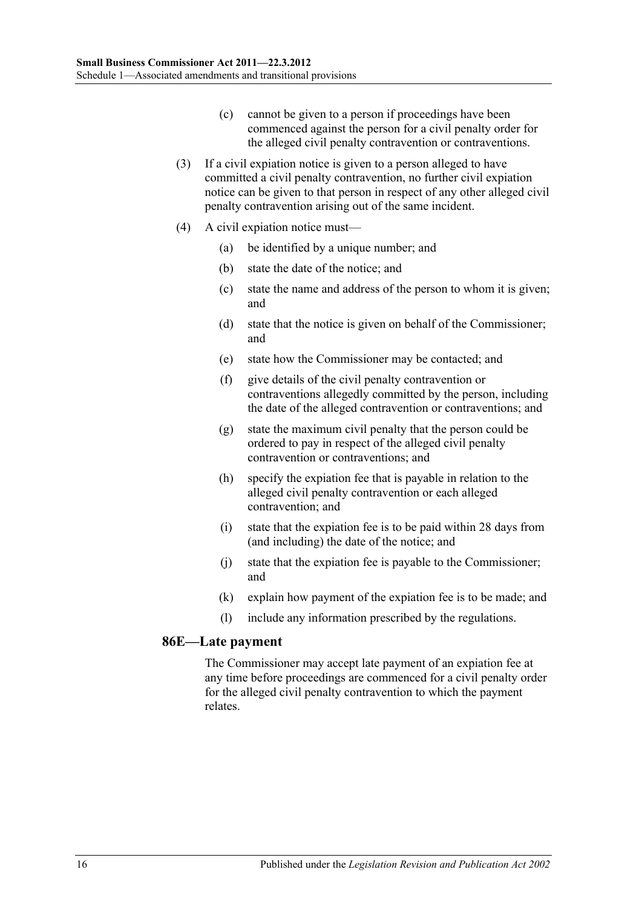- (c) cannot be given to a person if proceedings have been commenced against the person for a civil penalty order for the alleged civil penalty contravention or contraventions.
- (3) If a civil expiation notice is given to a person alleged to have committed a civil penalty contravention, no further civil expiation notice can be given to that person in respect of any other alleged civil penalty contravention arising out of the same incident.
- (4) A civil expiation notice must—
	- (a) be identified by a unique number; and
	- (b) state the date of the notice; and
	- (c) state the name and address of the person to whom it is given; and
	- (d) state that the notice is given on behalf of the Commissioner; and
	- (e) state how the Commissioner may be contacted; and
	- (f) give details of the civil penalty contravention or contraventions allegedly committed by the person, including the date of the alleged contravention or contraventions; and
	- (g) state the maximum civil penalty that the person could be ordered to pay in respect of the alleged civil penalty contravention or contraventions; and
	- (h) specify the expiation fee that is payable in relation to the alleged civil penalty contravention or each alleged contravention; and
	- (i) state that the expiation fee is to be paid within 28 days from (and including) the date of the notice; and
	- (j) state that the expiation fee is payable to the Commissioner; and
	- (k) explain how payment of the expiation fee is to be made; and
	- (l) include any information prescribed by the regulations.

### **86E—Late payment**

The Commissioner may accept late payment of an expiation fee at any time before proceedings are commenced for a civil penalty order for the alleged civil penalty contravention to which the payment relates.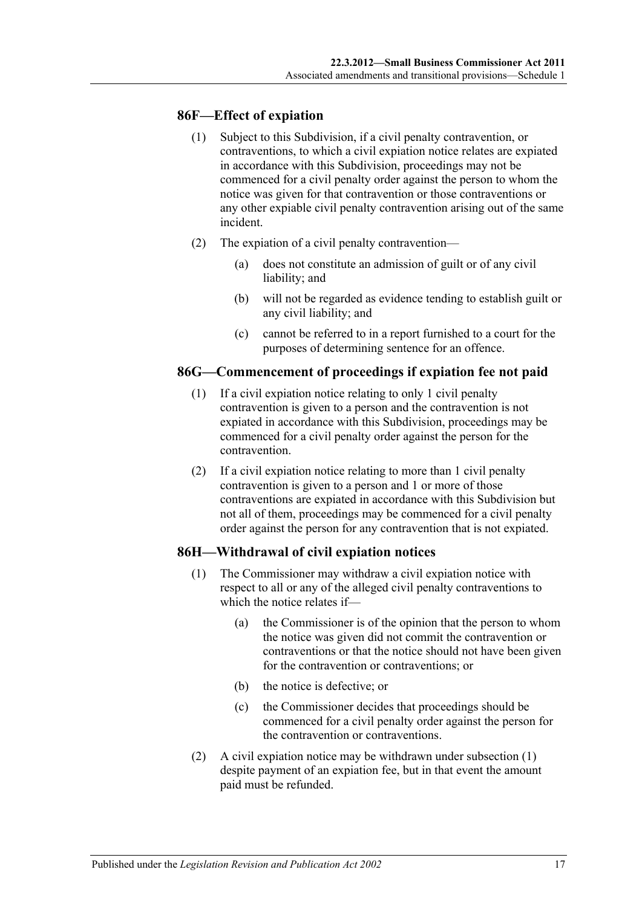### **86F—Effect of expiation**

- (1) Subject to this Subdivision, if a civil penalty contravention, or contraventions, to which a civil expiation notice relates are expiated in accordance with this Subdivision, proceedings may not be commenced for a civil penalty order against the person to whom the notice was given for that contravention or those contraventions or any other expiable civil penalty contravention arising out of the same incident.
- (2) The expiation of a civil penalty contravention—
	- (a) does not constitute an admission of guilt or of any civil liability; and
	- (b) will not be regarded as evidence tending to establish guilt or any civil liability; and
	- (c) cannot be referred to in a report furnished to a court for the purposes of determining sentence for an offence.

### **86G—Commencement of proceedings if expiation fee not paid**

- (1) If a civil expiation notice relating to only 1 civil penalty contravention is given to a person and the contravention is not expiated in accordance with this Subdivision, proceedings may be commenced for a civil penalty order against the person for the contravention.
- (2) If a civil expiation notice relating to more than 1 civil penalty contravention is given to a person and 1 or more of those contraventions are expiated in accordance with this Subdivision but not all of them, proceedings may be commenced for a civil penalty order against the person for any contravention that is not expiated.

## <span id="page-16-0"></span>**86H—Withdrawal of civil expiation notices**

- (1) The Commissioner may withdraw a civil expiation notice with respect to all or any of the alleged civil penalty contraventions to which the notice relates if—
	- (a) the Commissioner is of the opinion that the person to whom the notice was given did not commit the contravention or contraventions or that the notice should not have been given for the contravention or contraventions; or
	- (b) the notice is defective; or
	- (c) the Commissioner decides that proceedings should be commenced for a civil penalty order against the person for the contravention or contraventions.
- (2) A civil expiation notice may be withdrawn under [subsection](#page-16-0) (1) despite payment of an expiation fee, but in that event the amount paid must be refunded.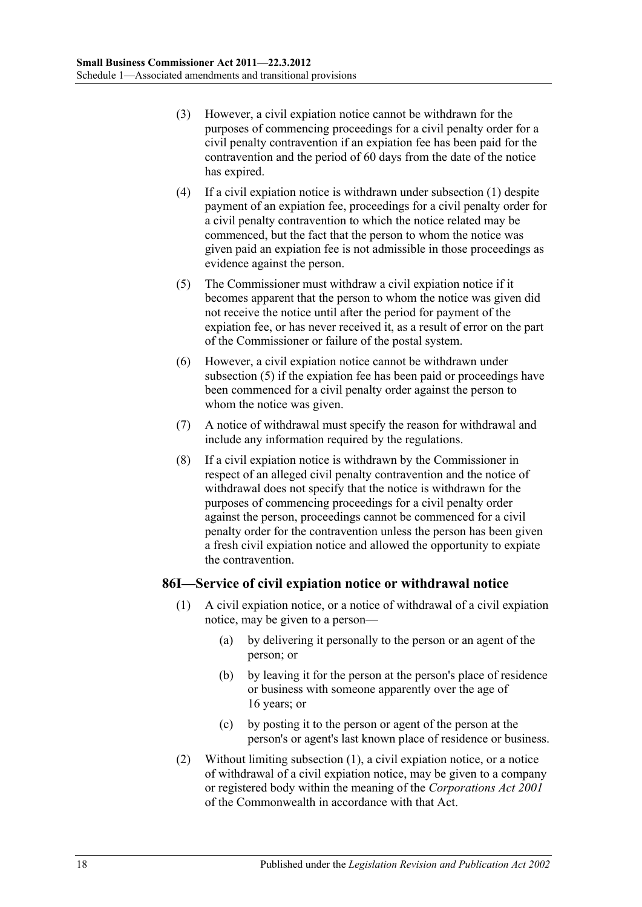- (3) However, a civil expiation notice cannot be withdrawn for the purposes of commencing proceedings for a civil penalty order for a civil penalty contravention if an expiation fee has been paid for the contravention and the period of 60 days from the date of the notice has expired.
- (4) If a civil expiation notice is withdrawn under [subsection](#page-16-0) (1) despite payment of an expiation fee, proceedings for a civil penalty order for a civil penalty contravention to which the notice related may be commenced, but the fact that the person to whom the notice was given paid an expiation fee is not admissible in those proceedings as evidence against the person.
- <span id="page-17-0"></span>(5) The Commissioner must withdraw a civil expiation notice if it becomes apparent that the person to whom the notice was given did not receive the notice until after the period for payment of the expiation fee, or has never received it, as a result of error on the part of the Commissioner or failure of the postal system.
- (6) However, a civil expiation notice cannot be withdrawn under [subsection](#page-17-0) (5) if the expiation fee has been paid or proceedings have been commenced for a civil penalty order against the person to whom the notice was given.
- (7) A notice of withdrawal must specify the reason for withdrawal and include any information required by the regulations.
- (8) If a civil expiation notice is withdrawn by the Commissioner in respect of an alleged civil penalty contravention and the notice of withdrawal does not specify that the notice is withdrawn for the purposes of commencing proceedings for a civil penalty order against the person, proceedings cannot be commenced for a civil penalty order for the contravention unless the person has been given a fresh civil expiation notice and allowed the opportunity to expiate the contravention.

### <span id="page-17-1"></span>**86I—Service of civil expiation notice or withdrawal notice**

- (1) A civil expiation notice, or a notice of withdrawal of a civil expiation notice, may be given to a person—
	- (a) by delivering it personally to the person or an agent of the person; or
	- (b) by leaving it for the person at the person's place of residence or business with someone apparently over the age of 16 years; or
	- (c) by posting it to the person or agent of the person at the person's or agent's last known place of residence or business.
- (2) Without limiting [subsection](#page-17-1) (1), a civil expiation notice, or a notice of withdrawal of a civil expiation notice, may be given to a company or registered body within the meaning of the *Corporations Act 2001* of the Commonwealth in accordance with that Act.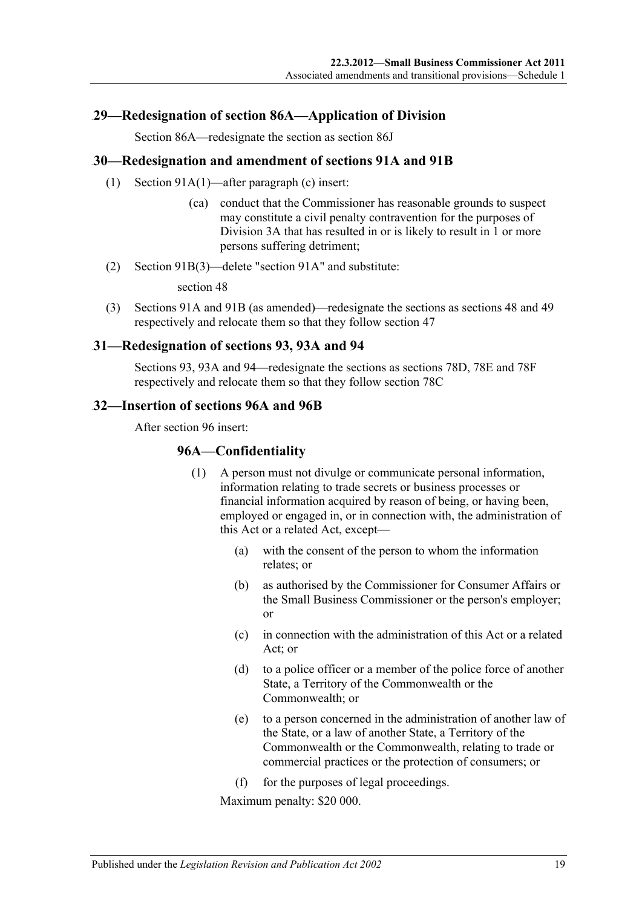### <span id="page-18-0"></span>42B**29—Redesignation of section 86A—Application of Division**

Section 86A—redesignate the section as section 86J

### <span id="page-18-1"></span>43B**30—Redesignation and amendment of sections 91A and 91B**

- (1) Section 91A(1)—after paragraph (c) insert:
	- (ca) conduct that the Commissioner has reasonable grounds to suspect may constitute a civil penalty contravention for the purposes of Division 3A that has resulted in or is likely to result in 1 or more persons suffering detriment;
- (2) Section 91B(3)—delete "section 91A" and substitute:

section 48

(3) Sections 91A and 91B (as amended)—redesignate the sections as sections 48 and 49 respectively and relocate them so that they follow section 47

### <span id="page-18-2"></span>44B**31—Redesignation of sections 93, 93A and 94**

Sections 93, 93A and 94—redesignate the sections as sections 78D, 78E and 78F respectively and relocate them so that they follow section 78C

### <span id="page-18-3"></span>45B**32—Insertion of sections 96A and 96B**

After section 96 insert:

### **96A—Confidentiality**

- (1) A person must not divulge or communicate personal information, information relating to trade secrets or business processes or financial information acquired by reason of being, or having been, employed or engaged in, or in connection with, the administration of this Act or a related Act, except—
	- (a) with the consent of the person to whom the information relates; or
	- (b) as authorised by the Commissioner for Consumer Affairs or the Small Business Commissioner or the person's employer; or
	- (c) in connection with the administration of this Act or a related Act; or
	- (d) to a police officer or a member of the police force of another State, a Territory of the Commonwealth or the Commonwealth; or
	- (e) to a person concerned in the administration of another law of the State, or a law of another State, a Territory of the Commonwealth or the Commonwealth, relating to trade or commercial practices or the protection of consumers; or
	- (f) for the purposes of legal proceedings.

Maximum penalty: \$20 000.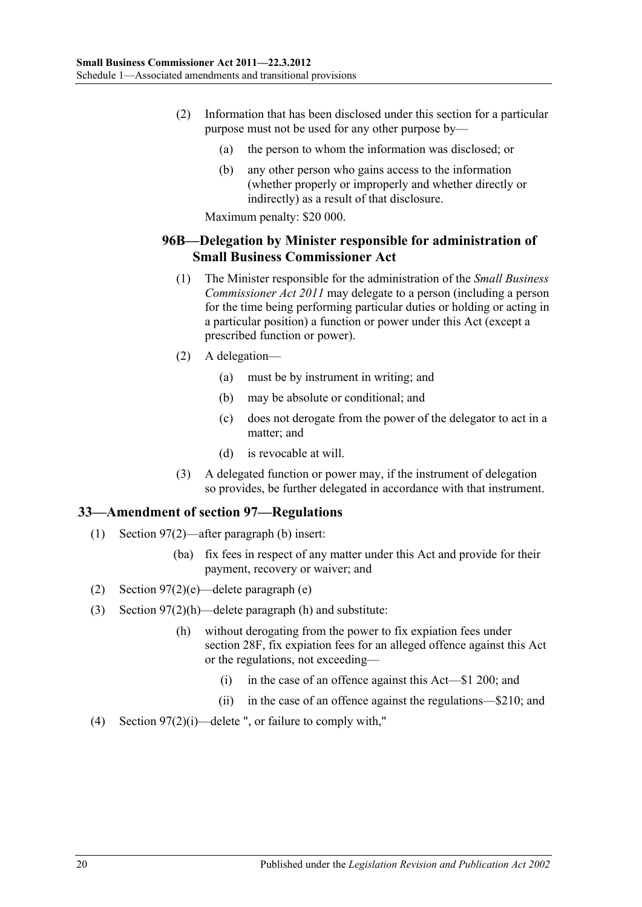- (2) Information that has been disclosed under this section for a particular purpose must not be used for any other purpose by—
	- (a) the person to whom the information was disclosed; or
	- (b) any other person who gains access to the information (whether properly or improperly and whether directly or indirectly) as a result of that disclosure.

Maximum penalty: \$20 000.

### **96B—Delegation by Minister responsible for administration of Small Business Commissioner Act**

- (1) The Minister responsible for the administration of the *[Small Business](http://www.legislation.sa.gov.au/index.aspx?action=legref&type=act&legtitle=Small%20Business%20Commissioner%20Act%202011)  [Commissioner Act](http://www.legislation.sa.gov.au/index.aspx?action=legref&type=act&legtitle=Small%20Business%20Commissioner%20Act%202011) 2011* may delegate to a person (including a person for the time being performing particular duties or holding or acting in a particular position) a function or power under this Act (except a prescribed function or power).
- (2) A delegation—
	- (a) must be by instrument in writing; and
	- (b) may be absolute or conditional; and
	- (c) does not derogate from the power of the delegator to act in a matter; and
	- (d) is revocable at will.
- (3) A delegated function or power may, if the instrument of delegation so provides, be further delegated in accordance with that instrument.

## <span id="page-19-0"></span>46B**33—Amendment of section 97—Regulations**

- (1) Section 97(2)—after paragraph (b) insert:
	- (ba) fix fees in respect of any matter under this Act and provide for their payment, recovery or waiver; and
- (2) Section 97(2)(e)—delete paragraph (e)
- (3) Section 97(2)(h)—delete paragraph (h) and substitute:
	- (h) without derogating from the power to fix expiation fees under section 28F, fix expiation fees for an alleged offence against this Act or the regulations, not exceeding—
		- (i) in the case of an offence against this Act—\$1 200; and
		- (ii) in the case of an offence against the regulations—\$210; and
- (4) Section 97(2)(i)—delete ", or failure to comply with,"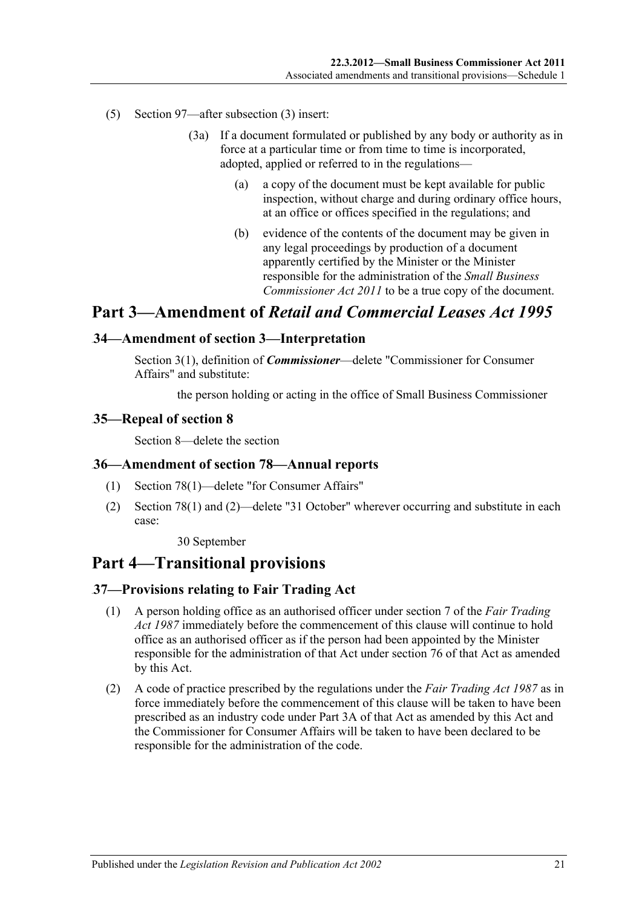- (5) Section 97—after subsection (3) insert:
	- (3a) If a document formulated or published by any body or authority as in force at a particular time or from time to time is incorporated, adopted, applied or referred to in the regulations—
		- (a) a copy of the document must be kept available for public inspection, without charge and during ordinary office hours, at an office or offices specified in the regulations; and
		- (b) evidence of the contents of the document may be given in any legal proceedings by production of a document apparently certified by the Minister or the Minister responsible for the administration of the *[Small Business](http://www.legislation.sa.gov.au/index.aspx?action=legref&type=act&legtitle=Small%20Business%20Commissioner%20Act%202011)  [Commissioner Act](http://www.legislation.sa.gov.au/index.aspx?action=legref&type=act&legtitle=Small%20Business%20Commissioner%20Act%202011) 2011* to be a true copy of the document.

## **Part 3—Amendment of** *Retail and Commercial Leases Act 1995*

### <span id="page-20-0"></span>47B**34—Amendment of section 3—Interpretation**

Section 3(1), definition of *Commissioner*—delete "Commissioner for Consumer Affairs" and substitute:

the person holding or acting in the office of Small Business Commissioner

### <span id="page-20-1"></span>48B**35—Repeal of section 8**

Section 8—delete the section

### <span id="page-20-2"></span>49B**36—Amendment of section 78—Annual reports**

- (1) Section 78(1)—delete "for Consumer Affairs"
- (2) Section 78(1) and (2)—delete "31 October" wherever occurring and substitute in each case:

30 September

## **Part 4—Transitional provisions**

## <span id="page-20-3"></span>50B**37—Provisions relating to Fair Trading Act**

- (1) A person holding office as an authorised officer under section 7 of the *Fair [Trading](http://www.legislation.sa.gov.au/index.aspx?action=legref&type=act&legtitle=Fair%20Trading%20Act%201987)  Act [1987](http://www.legislation.sa.gov.au/index.aspx?action=legref&type=act&legtitle=Fair%20Trading%20Act%201987)* immediately before the commencement of this clause will continue to hold office as an authorised officer as if the person had been appointed by the Minister responsible for the administration of that Act under section 76 of that Act as amended by this Act.
- (2) A code of practice prescribed by the regulations under the *[Fair Trading Act](http://www.legislation.sa.gov.au/index.aspx?action=legref&type=act&legtitle=Fair%20Trading%20Act%201987) 1987* as in force immediately before the commencement of this clause will be taken to have been prescribed as an industry code under Part 3A of that Act as amended by this Act and the Commissioner for Consumer Affairs will be taken to have been declared to be responsible for the administration of the code.